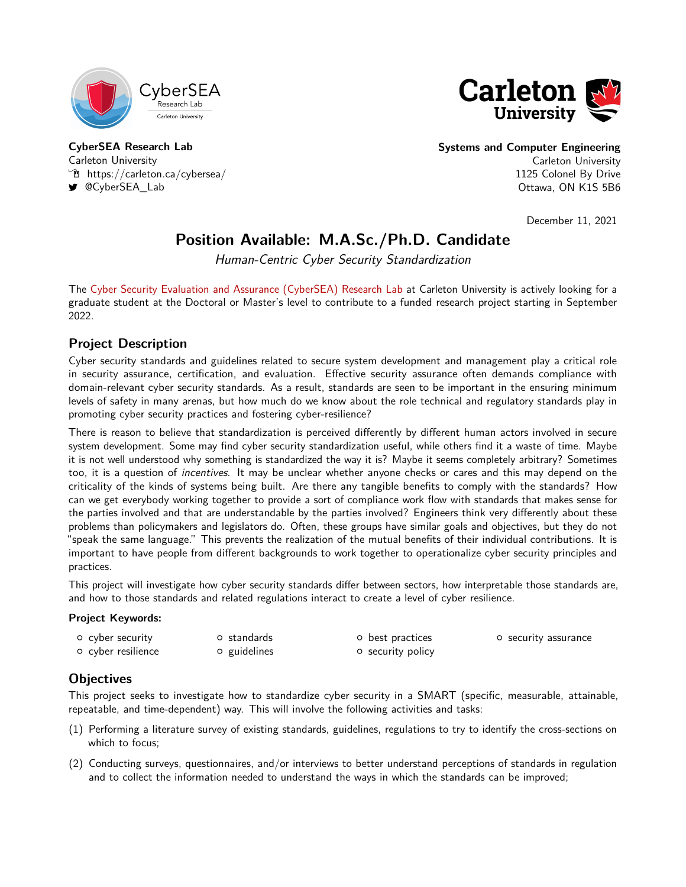



**CyberSEA Research Lab** Carleton University  $\mathcal{F}$  <https://carleton.ca/cybersea/> [@CyberSEA\\_Lab](https://twitter.com/CyberSEA_Lab)

**Systems and Computer Engineering** Carleton University 1125 Colonel By Drive Ottawa, ON K1S 5B6

December 11, 2021

# **Position Available: M.A.Sc./Ph.D. Candidate**

Human-Centric Cyber Security Standardization

The [Cyber Security Evaluation and Assurance \(CyberSEA\) Research Lab](https://carleton.ca/cybersea/) at Carleton University is actively looking for a graduate student at the Doctoral or Master's level to contribute to a funded research project starting in September 2022.

# **Project Description**

Cyber security standards and guidelines related to secure system development and management play a critical role in security assurance, certification, and evaluation. Effective security assurance often demands compliance with domain-relevant cyber security standards. As a result, standards are seen to be important in the ensuring minimum levels of safety in many arenas, but how much do we know about the role technical and regulatory standards play in promoting cyber security practices and fostering cyber-resilience?

There is reason to believe that standardization is perceived differently by different human actors involved in secure system development. Some may find cyber security standardization useful, while others find it a waste of time. Maybe it is not well understood why something is standardized the way it is? Maybe it seems completely arbitrary? Sometimes too, it is a question of *incentives*. It may be unclear whether anyone checks or cares and this may depend on the criticality of the kinds of systems being built. Are there any tangible benefits to comply with the standards? How can we get everybody working together to provide a sort of compliance work flow with standards that makes sense for the parties involved and that are understandable by the parties involved? Engineers think very differently about these problems than policymakers and legislators do. Often, these groups have similar goals and objectives, but they do not "speak the same language." This prevents the realization of the mutual benefits of their individual contributions. It is important to have people from different backgrounds to work together to operationalize cyber security principles and practices.

This project will investigate how cyber security standards differ between sectors, how interpretable those standards are, and how to those standards and related regulations interact to create a level of cyber resilience.

### **Project Keywords:**

| o cyber security   | o standards  | o best practices         | <b>O</b> security assurance |
|--------------------|--------------|--------------------------|-----------------------------|
| o cyber resilience | o guidelines | <b>o</b> security policy |                             |

# **Objectives**

This project seeks to investigate how to standardize cyber security in a SMART (specific, measurable, attainable, repeatable, and time-dependent) way. This will involve the following activities and tasks:

- (1) Performing a literature survey of existing standards, guidelines, regulations to try to identify the cross-sections on which to focus;
- (2) Conducting surveys, questionnaires, and/or interviews to better understand perceptions of standards in regulation and to collect the information needed to understand the ways in which the standards can be improved;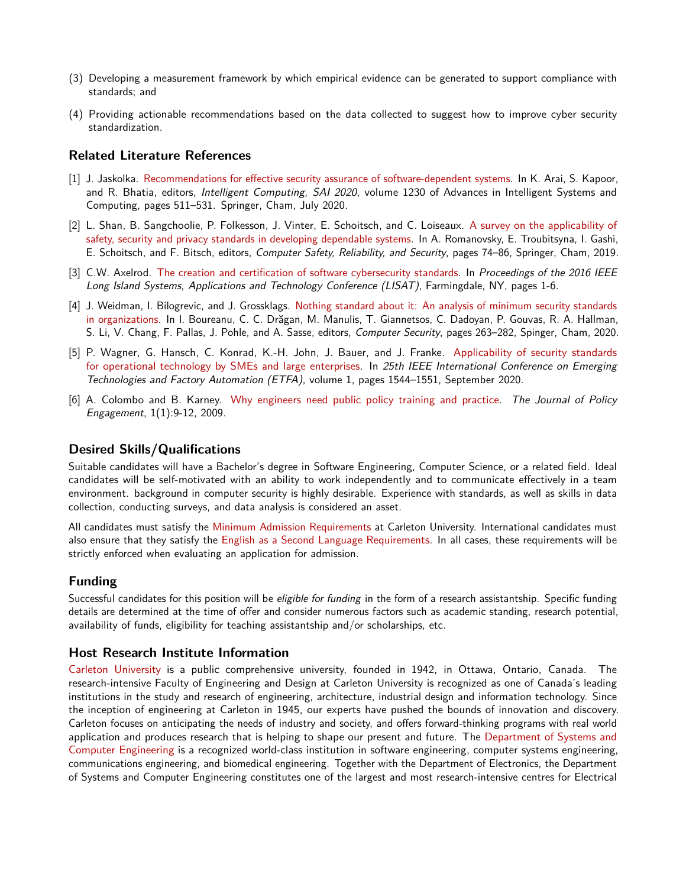- (3) Developing a measurement framework by which empirical evidence can be generated to support compliance with standards; and
- (4) Providing actionable recommendations based on the data collected to suggest how to improve cyber security standardization.

## **Related Literature References**

- [1] J. Jaskolka. [Recommendations for effective security assurance of software-dependent systems.](https://doi.org/10.1007/978-3-030-52243-8_37) In K. Arai, S. Kapoor, and R. Bhatia, editors, *Intelligent Computing, SAI 2020*, volume 1230 of Advances in Intelligent Systems and Computing, pages 511–531. Springer, Cham, July 2020.
- [2] L. Shan, B. Sangchoolie, P. Folkesson, J. Vinter, E. Schoitsch, and C. Loiseaux. [A survey on the applicability of](https://doi.org/10.1007/978-3-030-26250-1_6) [safety, security and privacy standards in developing dependable systems.](https://doi.org/10.1007/978-3-030-26250-1_6) In A. Romanovsky, E. Troubitsyna, I. Gashi, E. Schoitsch, and F. Bitsch, editors, Computer Safety, Reliability, and Security, pages 74–86, Springer, Cham, 2019.
- [3] C.W. Axelrod. [The creation and certification of software cybersecurity standards.](https://doi.org/10.1109/LISAT.2016.7494112) In Proceedings of the 2016 IEEE Long Island Systems, Applications and Technology Conference (LISAT), Farmingdale, NY, pages 1-6.
- [4] J. Weidman, I. Bilogrevic, and J. Grossklags. [Nothing standard about it: An analysis of minimum security standards](https://doi.org/10.1007/978-3-030-66504-3_16) [in organizations.](https://doi.org/10.1007/978-3-030-66504-3_16) In I. Boureanu, C. C. Drăgan, M. Manulis, T. Giannetsos, C. Dadoyan, P. Gouvas, R. A. Hallman, S. Li, V. Chang, F. Pallas, J. Pohle, and A. Sasse, editors, Computer Security, pages 263–282, Spinger, Cham, 2020.
- [5] P. Wagner, G. Hansch, C. Konrad, K.-H. John, J. Bauer, and J. Franke. [Applicability of security standards](https://doi.org/10.1109/ETFA46521.2020.9212126) [for operational technology by SMEs and large enterprises.](https://doi.org/10.1109/ETFA46521.2020.9212126) In 25th IEEE International Conference on Emerging Technologies and Factory Automation (ETFA), volume 1, pages 1544–1551, September 2020.
- [6] A. Colombo and B. Karney. [Why engineers need public policy training and practice.](http://hydratek.com/wp-content/uploads/2012/12/policy.pdf) The Journal of Policy Engagement, 1(1):9-12, 2009.

## **Desired Skills/Qualifications**

Suitable candidates will have a Bachelor's degree in Software Engineering, Computer Science, or a related field. Ideal candidates will be self-motivated with an ability to work independently and to communicate effectively in a team environment. background in computer security is highly desirable. Experience with standards, as well as skills in data collection, conducting surveys, and data analysis is considered an asset.

All candidates must satisfy the [Minimum Admission Requirements](https://graduate.carleton.ca/apply-online/minimum-requirements/) at Carleton University. International candidates must also ensure that they satisfy the [English as a Second Language Requirements.](https://graduate.carleton.ca/international/english-second-language/) In all cases, these requirements will be strictly enforced when evaluating an application for admission.

## **Funding**

Successful candidates for this position will be *eligible for funding* in the form of a research assistantship. Specific funding details are determined at the time of offer and consider numerous factors such as academic standing, research potential, availability of funds, eligibility for teaching assistantship and/or scholarships, etc.

### **Host Research Institute Information**

[Carleton University](https://carleton.ca/) is a public comprehensive university, founded in 1942, in Ottawa, Ontario, Canada. The research-intensive Faculty of Engineering and Design at Carleton University is recognized as one of Canada's leading institutions in the study and research of engineering, architecture, industrial design and information technology. Since the inception of engineering at Carleton in 1945, our experts have pushed the bounds of innovation and discovery. Carleton focuses on anticipating the needs of industry and society, and offers forward-thinking programs with real world application and produces research that is helping to shape our present and future. The [Department of Systems and](https://carleton.ca/sce/) [Computer Engineering](https://carleton.ca/sce/) is a recognized world-class institution in software engineering, computer systems engineering, communications engineering, and biomedical engineering. Together with the Department of Electronics, the Department of Systems and Computer Engineering constitutes one of the largest and most research-intensive centres for Electrical